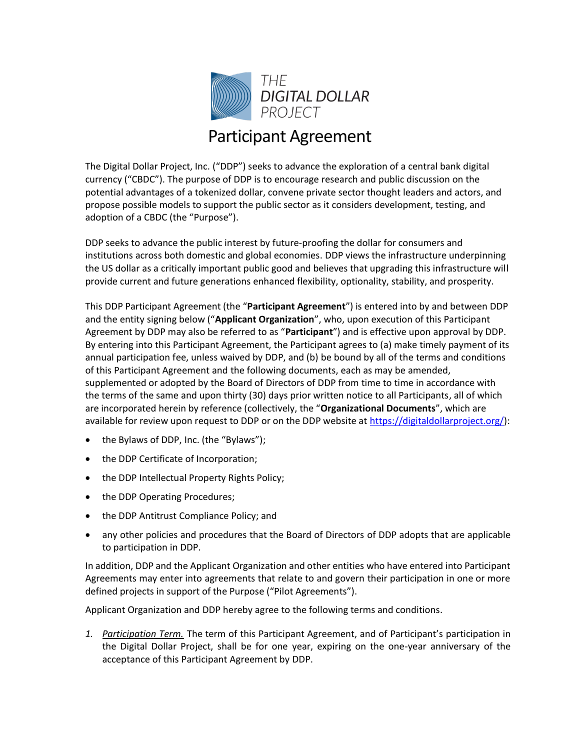

## Participant Agreement

The Digital Dollar Project, Inc. ("DDP") seeks to advance the exploration of a central bank digital currency ("CBDC"). The purpose of DDP is to encourage research and public discussion on the potential advantages of a tokenized dollar, convene private sector thought leaders and actors, and propose possible models to support the public sector as it considers development, testing, and adoption of a CBDC (the "Purpose").

DDP seeks to advance the public interest by future-proofing the dollar for consumers and institutions across both domestic and global economies. DDP views the infrastructure underpinning the US dollar as a critically important public good and believes that upgrading this infrastructure will provide current and future generations enhanced flexibility, optionality, stability, and prosperity.

This DDP Participant Agreement (the "**Participant Agreement**") is entered into by and between DDP and the entity signing below ("**Applicant Organization**", who, upon execution of this Participant Agreement by DDP may also be referred to as "**Participant**") and is effective upon approval by DDP. By entering into this Participant Agreement, the Participant agrees to (a) make timely payment of its annual participation fee, unless waived by DDP, and (b) be bound by all of the terms and conditions of this Participant Agreement and the following documents, each as may be amended, supplemented or adopted by the Board of Directors of DDP from time to time in accordance with the terms of the same and upon thirty (30) days prior written notice to all Participants, all of which are incorporated herein by reference (collectively, the "**Organizational Documents**", which are available for review upon request to DDP or on the DDP website at [https://digitaldollarproject.org/\)](https://digitaldollarproject.org/):

- the Bylaws of DDP, Inc. (the "Bylaws");
- the DDP Certificate of Incorporation;
- the DDP Intellectual Property Rights Policy;
- the DDP Operating Procedures;
- the DDP Antitrust Compliance Policy; and
- any other policies and procedures that the Board of Directors of DDP adopts that are applicable to participation in DDP.

In addition, DDP and the Applicant Organization and other entities who have entered into Participant Agreements may enter into agreements that relate to and govern their participation in one or more defined projects in support of the Purpose ("Pilot Agreements").

Applicant Organization and DDP hereby agree to the following terms and conditions.

*1. Participation Term.* The term of this Participant Agreement, and of Participant's participation in the Digital Dollar Project, shall be for one year, expiring on the one-year anniversary of the acceptance of this Participant Agreement by DDP.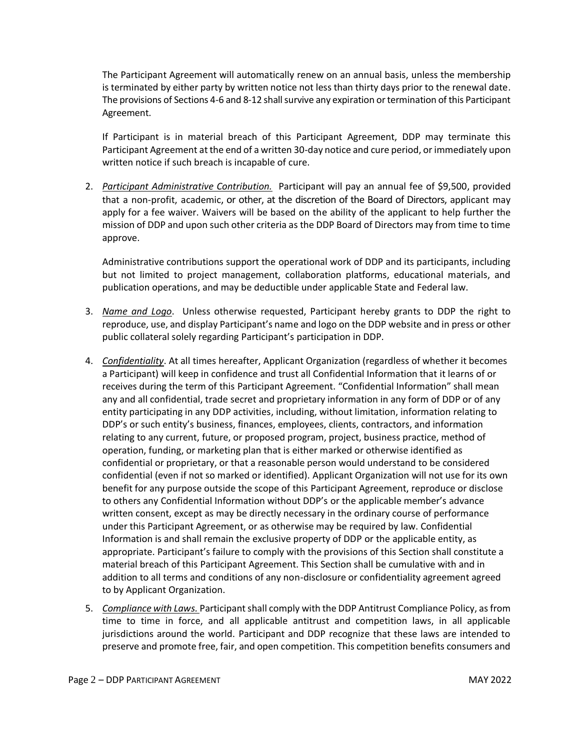The Participant Agreement will automatically renew on an annual basis, unless the membership is terminated by either party by written notice not less than thirty days prior to the renewal date. The provisions of Sections 4-6 and 8-12 shall survive any expiration or termination of this Participant Agreement.

If Participant is in material breach of this Participant Agreement, DDP may terminate this Participant Agreement at the end of a written 30-day notice and cure period, or immediately upon written notice if such breach is incapable of cure.

2. *Participant Administrative Contribution.* Participant will pay an annual fee of \$9,500, provided that a non-profit, academic, or other, at the discretion of the Board of Directors, applicant may apply for a fee waiver. Waivers will be based on the ability of the applicant to help further the mission of DDP and upon such other criteria as the DDP Board of Directors may from time to time approve.

Administrative contributions support the operational work of DDP and its participants, including but not limited to project management, collaboration platforms, educational materials, and publication operations, and may be deductible under applicable State and Federal law.

- 3. *Name and Logo*. Unless otherwise requested, Participant hereby grants to DDP the right to reproduce, use, and display Participant's name and logo on the DDP website and in press or other public collateral solely regarding Participant's participation in DDP.
- 4. *Confidentiality*. At all times hereafter, Applicant Organization (regardless of whether it becomes a Participant) will keep in confidence and trust all Confidential Information that it learns of or receives during the term of this Participant Agreement. "Confidential Information" shall mean any and all confidential, trade secret and proprietary information in any form of DDP or of any entity participating in any DDP activities, including, without limitation, information relating to DDP's or such entity's business, finances, employees, clients, contractors, and information relating to any current, future, or proposed program, project, business practice, method of operation, funding, or marketing plan that is either marked or otherwise identified as confidential or proprietary, or that a reasonable person would understand to be considered confidential (even if not so marked or identified). Applicant Organization will not use for its own benefit for any purpose outside the scope of this Participant Agreement, reproduce or disclose to others any Confidential Information without DDP's or the applicable member's advance written consent, except as may be directly necessary in the ordinary course of performance under this Participant Agreement, or as otherwise may be required by law. Confidential Information is and shall remain the exclusive property of DDP or the applicable entity, as appropriate. Participant's failure to comply with the provisions of this Section shall constitute a material breach of this Participant Agreement. This Section shall be cumulative with and in addition to all terms and conditions of any non-disclosure or confidentiality agreement agreed to by Applicant Organization.
- 5. *Compliance with Laws.* Participant shall comply with the DDP Antitrust Compliance Policy, as from time to time in force, and all applicable antitrust and competition laws, in all applicable jurisdictions around the world. Participant and DDP recognize that these laws are intended to preserve and promote free, fair, and open competition. This competition benefits consumers and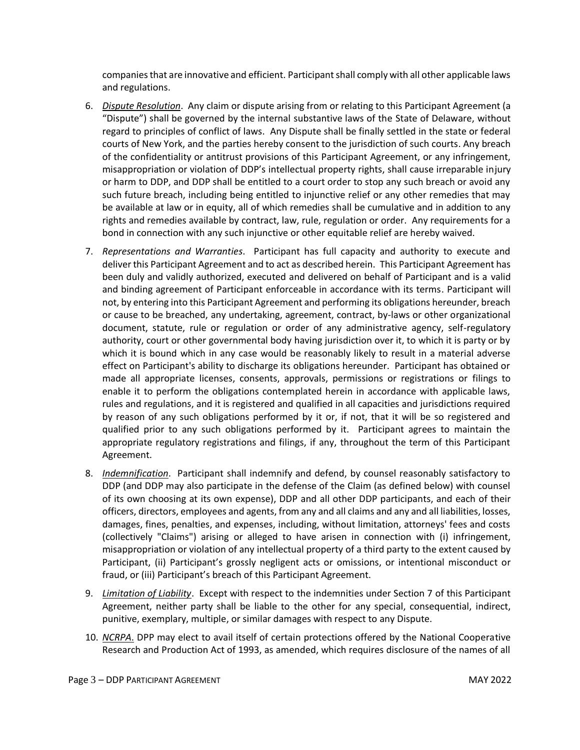companies that are innovative and efficient. Participant shall comply with all other applicable laws and regulations.

- 6. *Dispute Resolution*. Any claim or dispute arising from or relating to this Participant Agreement (a "Dispute") shall be governed by the internal substantive laws of the State of Delaware, without regard to principles of conflict of laws. Any Dispute shall be finally settled in the state or federal courts of New York, and the parties hereby consent to the jurisdiction of such courts. Any breach of the confidentiality or antitrust provisions of this Participant Agreement, or any infringement, misappropriation or violation of DDP's intellectual property rights, shall cause irreparable injury or harm to DDP, and DDP shall be entitled to a court order to stop any such breach or avoid any such future breach, including being entitled to injunctive relief or any other remedies that may be available at law or in equity, all of which remedies shall be cumulative and in addition to any rights and remedies available by contract, law, rule, regulation or order. Any requirements for a bond in connection with any such injunctive or other equitable relief are hereby waived.
- 7. *Representations and Warranties*. Participant has full capacity and authority to execute and deliver this Participant Agreement and to act as described herein. This Participant Agreement has been duly and validly authorized, executed and delivered on behalf of Participant and is a valid and binding agreement of Participant enforceable in accordance with its terms. Participant will not, by entering into this Participant Agreement and performing its obligations hereunder, breach or cause to be breached, any undertaking, agreement, contract, by-laws or other organizational document, statute, rule or regulation or order of any administrative agency, self-regulatory authority, court or other governmental body having jurisdiction over it, to which it is party or by which it is bound which in any case would be reasonably likely to result in a material adverse effect on Participant's ability to discharge its obligations hereunder. Participant has obtained or made all appropriate licenses, consents, approvals, permissions or registrations or filings to enable it to perform the obligations contemplated herein in accordance with applicable laws, rules and regulations, and it is registered and qualified in all capacities and jurisdictions required by reason of any such obligations performed by it or, if not, that it will be so registered and qualified prior to any such obligations performed by it. Participant agrees to maintain the appropriate regulatory registrations and filings, if any, throughout the term of this Participant Agreement.
- 8. *Indemnification*. Participant shall indemnify and defend, by counsel reasonably satisfactory to DDP (and DDP may also participate in the defense of the Claim (as defined below) with counsel of its own choosing at its own expense), DDP and all other DDP participants, and each of their officers, directors, employees and agents, from any and all claims and any and all liabilities, losses, damages, fines, penalties, and expenses, including, without limitation, attorneys' fees and costs (collectively "Claims") arising or alleged to have arisen in connection with (i) infringement, misappropriation or violation of any intellectual property of a third party to the extent caused by Participant, (ii) Participant's grossly negligent acts or omissions, or intentional misconduct or fraud, or (iii) Participant's breach of this Participant Agreement.
- 9. *Limitation of Liability*. Except with respect to the indemnities under Section 7 of this Participant Agreement, neither party shall be liable to the other for any special, consequential, indirect, punitive, exemplary, multiple, or similar damages with respect to any Dispute.
- 10. *NCRPA*. DPP may elect to avail itself of certain protections offered by the National Cooperative Research and Production Act of 1993, as amended, which requires disclosure of the names of all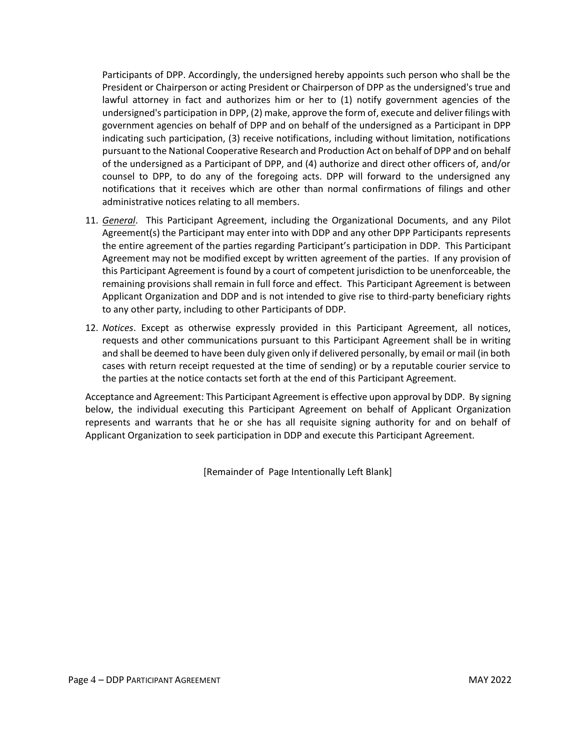Participants of DPP. Accordingly, the undersigned hereby appoints such person who shall be the President or Chairperson or acting President or Chairperson of DPP as the undersigned's true and lawful attorney in fact and authorizes him or her to (1) notify government agencies of the undersigned's participation in DPP, (2) make, approve the form of, execute and deliver filings with government agencies on behalf of DPP and on behalf of the undersigned as a Participant in DPP indicating such participation, (3) receive notifications, including without limitation, notifications pursuant to the National Cooperative Research and Production Act on behalf of DPP and on behalf of the undersigned as a Participant of DPP, and (4) authorize and direct other officers of, and/or counsel to DPP, to do any of the foregoing acts. DPP will forward to the undersigned any notifications that it receives which are other than normal confirmations of filings and other administrative notices relating to all members.

- 11. *General*. This Participant Agreement, including the Organizational Documents, and any Pilot Agreement(s) the Participant may enter into with DDP and any other DPP Participants represents the entire agreement of the parties regarding Participant's participation in DDP. This Participant Agreement may not be modified except by written agreement of the parties. If any provision of this Participant Agreement is found by a court of competent jurisdiction to be unenforceable, the remaining provisions shall remain in full force and effect. This Participant Agreement is between Applicant Organization and DDP and is not intended to give rise to third-party beneficiary rights to any other party, including to other Participants of DDP.
- 12. *Notices*. Except as otherwise expressly provided in this Participant Agreement, all notices, requests and other communications pursuant to this Participant Agreement shall be in writing and shall be deemed to have been duly given only if delivered personally, by email or mail (in both cases with return receipt requested at the time of sending) or by a reputable courier service to the parties at the notice contacts set forth at the end of this Participant Agreement.

Acceptance and Agreement: This Participant Agreement is effective upon approval by DDP. By signing below, the individual executing this Participant Agreement on behalf of Applicant Organization represents and warrants that he or she has all requisite signing authority for and on behalf of Applicant Organization to seek participation in DDP and execute this Participant Agreement.

[Remainder of Page Intentionally Left Blank]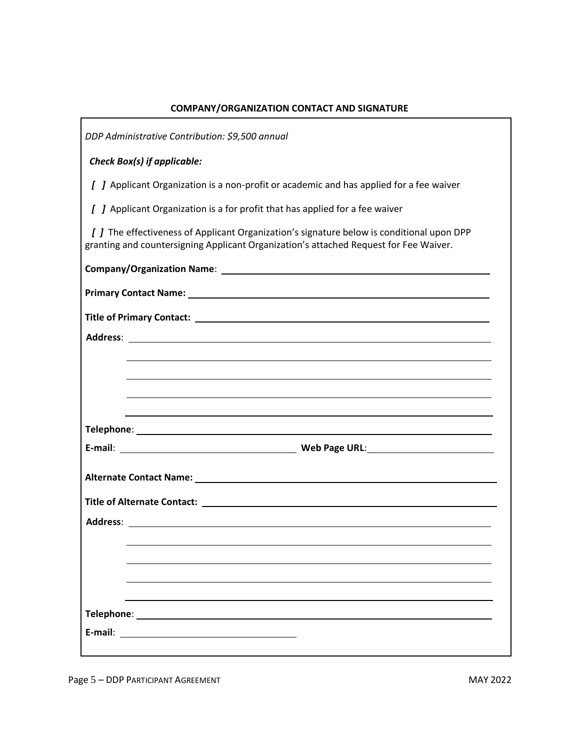| COMPANT/UNGANIZATION CONTACT AND SIGNATURE                                                                                                                                         |
|------------------------------------------------------------------------------------------------------------------------------------------------------------------------------------|
| DDP Administrative Contribution: \$9,500 annual                                                                                                                                    |
| <b>Check Box(s) if applicable:</b>                                                                                                                                                 |
| [ ] Applicant Organization is a non-profit or academic and has applied for a fee waiver                                                                                            |
| [ ] Applicant Organization is a for profit that has applied for a fee waiver                                                                                                       |
| [ ] The effectiveness of Applicant Organization's signature below is conditional upon DPP<br>granting and countersigning Applicant Organization's attached Request for Fee Waiver. |
|                                                                                                                                                                                    |
|                                                                                                                                                                                    |
|                                                                                                                                                                                    |
|                                                                                                                                                                                    |
|                                                                                                                                                                                    |
|                                                                                                                                                                                    |
|                                                                                                                                                                                    |
|                                                                                                                                                                                    |
|                                                                                                                                                                                    |
|                                                                                                                                                                                    |
|                                                                                                                                                                                    |
| Address: <b>Address</b>                                                                                                                                                            |
|                                                                                                                                                                                    |
|                                                                                                                                                                                    |
|                                                                                                                                                                                    |
|                                                                                                                                                                                    |
| E-mail:                                                                                                                                                                            |
|                                                                                                                                                                                    |

## **COMPANY/ORGANIZATION CONTACT AND SIGNATURE**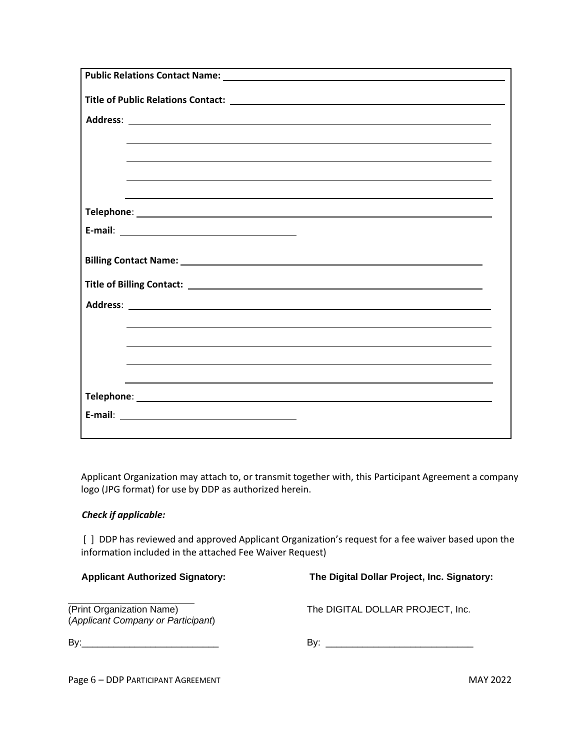Applicant Organization may attach to, or transmit together with, this Participant Agreement a company logo (JPG format) for use by DDP as authorized herein. \

## *Check if applicable:*

[ ] DDP has reviewed and approved Applicant Organization's request for a fee waiver based upon the information included in the attached Fee Waiver Request)

 **Applicant Authorized Signatory: The Digital Dollar Project, Inc. Signatory:** 

 (*Applicant Company or Participant*)

(Print Organization Name) The DIGITAL DOLLAR PROJECT, Inc.

By:\_\_\_\_\_\_\_\_\_\_\_\_\_\_\_\_\_\_\_\_\_\_\_\_\_\_ By: \_\_\_\_\_\_\_\_\_\_\_\_\_\_\_\_\_\_\_\_\_\_\_\_\_\_\_\_

Page 6 – DDP PARTICIPANT AGREEMENT MAY 2022